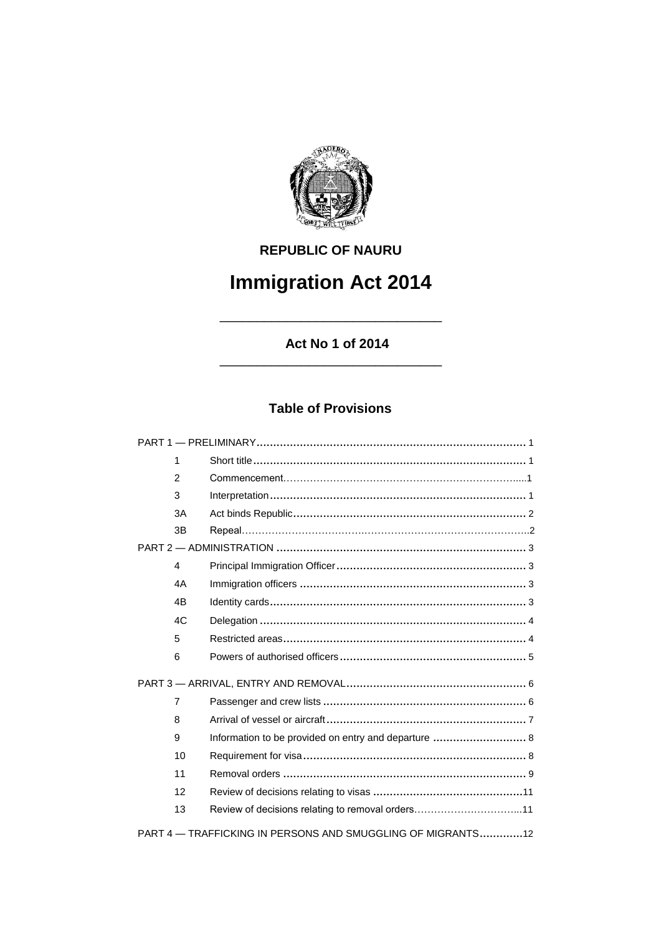

## **REPUBLIC OF NAURU**

# **Immigration Act 2014**

\_\_\_\_\_\_\_\_\_\_\_\_\_\_\_\_\_\_\_\_\_\_\_\_\_\_\_\_\_\_

**Act No 1 of 2014** \_\_\_\_\_\_\_\_\_\_\_\_\_\_\_\_\_\_\_\_\_\_\_\_\_\_\_\_\_\_

## **Table of Provisions**

| $\mathbf{1}$                                                |                                                      |  |
|-------------------------------------------------------------|------------------------------------------------------|--|
| $\overline{2}$                                              |                                                      |  |
| 3                                                           |                                                      |  |
| 3A                                                          |                                                      |  |
| 3B                                                          |                                                      |  |
|                                                             |                                                      |  |
| 4                                                           |                                                      |  |
| 4A                                                          |                                                      |  |
| 4 <sub>B</sub>                                              |                                                      |  |
| 4C                                                          |                                                      |  |
| 5                                                           |                                                      |  |
| 6                                                           |                                                      |  |
|                                                             |                                                      |  |
| $\overline{7}$                                              |                                                      |  |
| 8                                                           |                                                      |  |
| 9                                                           | Information to be provided on entry and departure  8 |  |
| 10                                                          |                                                      |  |
| 11                                                          |                                                      |  |
| 12                                                          |                                                      |  |
| 13                                                          |                                                      |  |
| PART 4 - TRAFFICKING IN PERSONS AND SMUGGLING OF MIGRANTS12 |                                                      |  |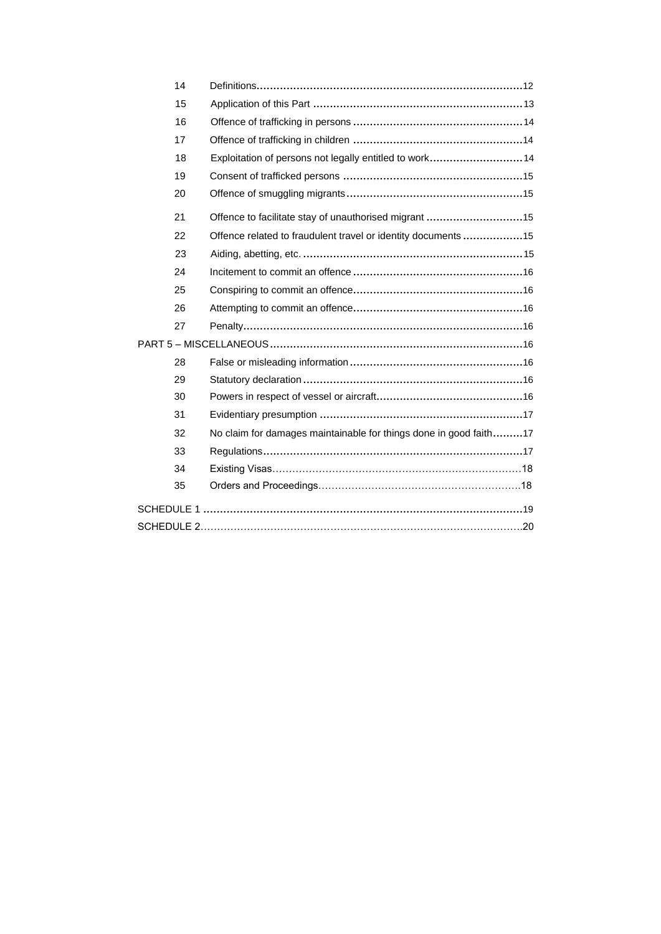| 14 |                                                                   |
|----|-------------------------------------------------------------------|
| 15 |                                                                   |
| 16 |                                                                   |
| 17 |                                                                   |
| 18 | Exploitation of persons not legally entitled to work 14           |
| 19 |                                                                   |
| 20 |                                                                   |
| 21 | Offence to facilitate stay of unauthorised migrant 15             |
| 22 | Offence related to fraudulent travel or identity documents 15     |
| 23 |                                                                   |
| 24 |                                                                   |
| 25 |                                                                   |
| 26 |                                                                   |
| 27 |                                                                   |
|    |                                                                   |
| 28 |                                                                   |
| 29 |                                                                   |
| 30 |                                                                   |
| 31 |                                                                   |
| 32 | No claim for damages maintainable for things done in good faith17 |
| 33 |                                                                   |
| 34 |                                                                   |
| 35 |                                                                   |
|    |                                                                   |
|    |                                                                   |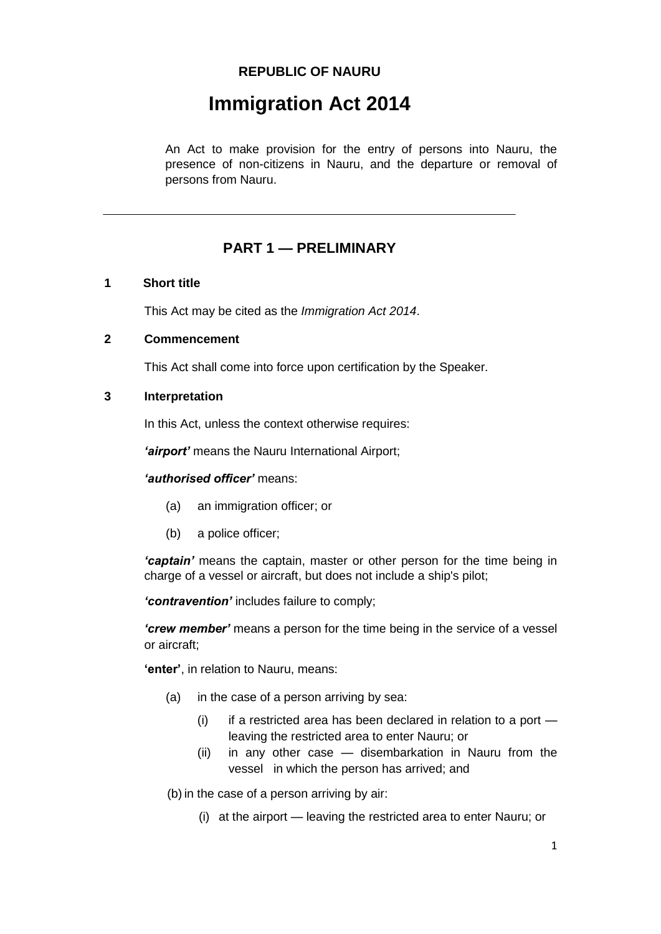## **REPUBLIC OF NAURU**

## **Immigration Act 2014**

An Act to make provision for the entry of persons into Nauru, the presence of non-citizens in Nauru, and the departure or removal of persons from Nauru.

## **PART 1 — PRELIMINARY**

#### **1 Short title**

This Act may be cited as the *Immigration Act 2014*.

#### **2 Commencement**

This Act shall come into force upon certification by the Speaker.

#### **3 Interpretation**

In this Act, unless the context otherwise requires:

*'airport'* means the Nauru International Airport;

#### *'authorised officer'* means:

- (a) an immigration officer; or
- (b) a police officer;

*'captain'* means the captain, master or other person for the time being in charge of a vessel or aircraft, but does not include a ship's pilot;

*'contravention'* includes failure to comply;

*'crew member'* means a person for the time being in the service of a vessel or aircraft;

**'enter'**, in relation to Nauru, means:

- (a) in the case of a person arriving by sea:
	- $(i)$  if a restricted area has been declared in relation to a port  $$ leaving the restricted area to enter Nauru; or
	- (ii) in any other case disembarkation in Nauru from the vessel in which the person has arrived; and

(b) in the case of a person arriving by air:

(i) at the airport — leaving the restricted area to enter Nauru; or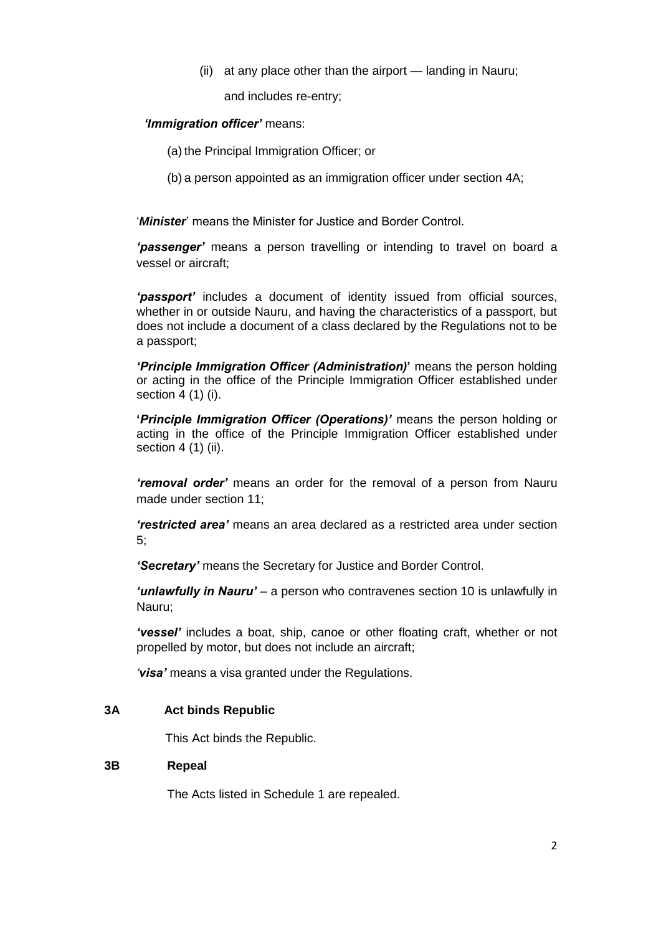(ii) at any place other than the airport — landing in Nauru;

and includes re-entry;

#### *'Immigration officer'* means:

- (a) the Principal Immigration Officer; or
- (b) a person appointed as an immigration officer under section 4A;

'*Minister*' means the Minister for Justice and Border Control.

*'passenger'* means a person travelling or intending to travel on board a vessel or aircraft;

*'passport'* includes a document of identity issued from official sources, whether in or outside Nauru, and having the characteristics of a passport, but does not include a document of a class declared by the Regulations not to be a passport;

*'Principle Immigration Officer (Administration)***'** means the person holding or acting in the office of the Principle Immigration Officer established under section 4 (1) (i).

**'***Principle Immigration Officer (Operations)'* means the person holding or acting in the office of the Principle Immigration Officer established under section 4 (1) (ii).

*'removal order'* means an order for the removal of a person from Nauru made under section 11;

*'restricted area'* means an area declared as a restricted area under section 5;

*'Secretary'* means the Secretary for Justice and Border Control.

*'unlawfully in Nauru'* – a person who contravenes section 10 is unlawfully in Nauru;

*'vessel'* includes a boat, ship, canoe or other floating craft, whether or not propelled by motor, but does not include an aircraft;

*'visa'* means a visa granted under the Regulations.

#### **3A Act binds Republic**

This Act binds the Republic.

#### **3B Repeal**

The Acts listed in Schedule 1 are repealed.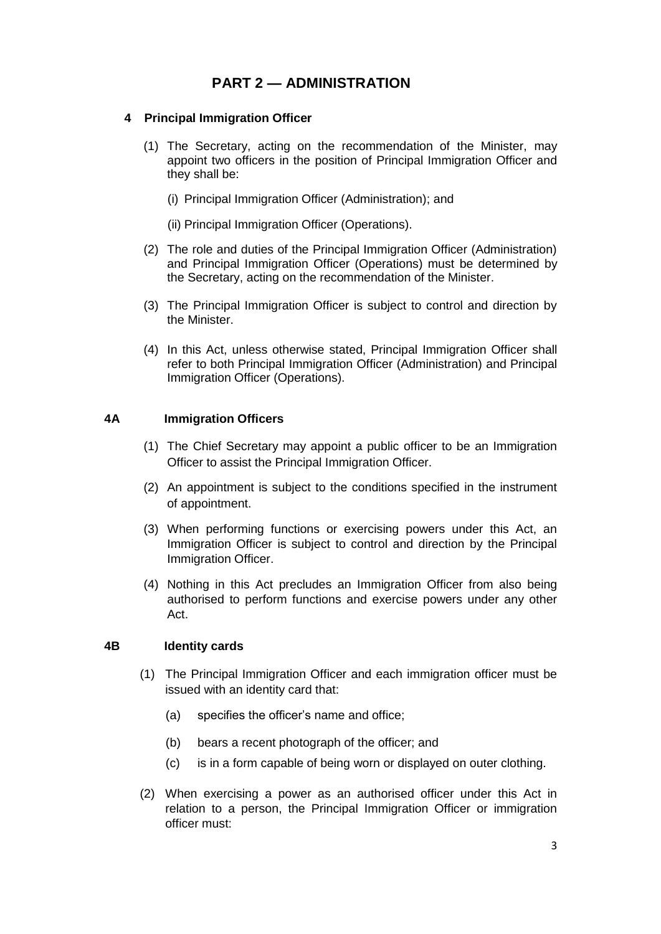## **PART 2 — ADMINISTRATION**

#### **4 Principal Immigration Officer**

- (1) The Secretary, acting on the recommendation of the Minister, may appoint two officers in the position of Principal Immigration Officer and they shall be:
	- (i) Principal Immigration Officer (Administration); and
	- (ii) Principal Immigration Officer (Operations).
- (2) The role and duties of the Principal Immigration Officer (Administration) and Principal Immigration Officer (Operations) must be determined by the Secretary, acting on the recommendation of the Minister.
- (3) The Principal Immigration Officer is subject to control and direction by the Minister.
- (4) In this Act, unless otherwise stated, Principal Immigration Officer shall refer to both Principal Immigration Officer (Administration) and Principal Immigration Officer (Operations).

#### **4A Immigration Officers**

- (1) The Chief Secretary may appoint a public officer to be an Immigration Officer to assist the Principal Immigration Officer.
- (2) An appointment is subject to the conditions specified in the instrument of appointment.
- (3) When performing functions or exercising powers under this Act, an Immigration Officer is subject to control and direction by the Principal Immigration Officer.
- (4) Nothing in this Act precludes an Immigration Officer from also being authorised to perform functions and exercise powers under any other Act.

#### **4B Identity cards**

- (1) The Principal Immigration Officer and each immigration officer must be issued with an identity card that:
	- (a) specifies the officer's name and office;
	- (b) bears a recent photograph of the officer; and
	- (c) is in a form capable of being worn or displayed on outer clothing.
- (2) When exercising a power as an authorised officer under this Act in relation to a person, the Principal Immigration Officer or immigration officer must: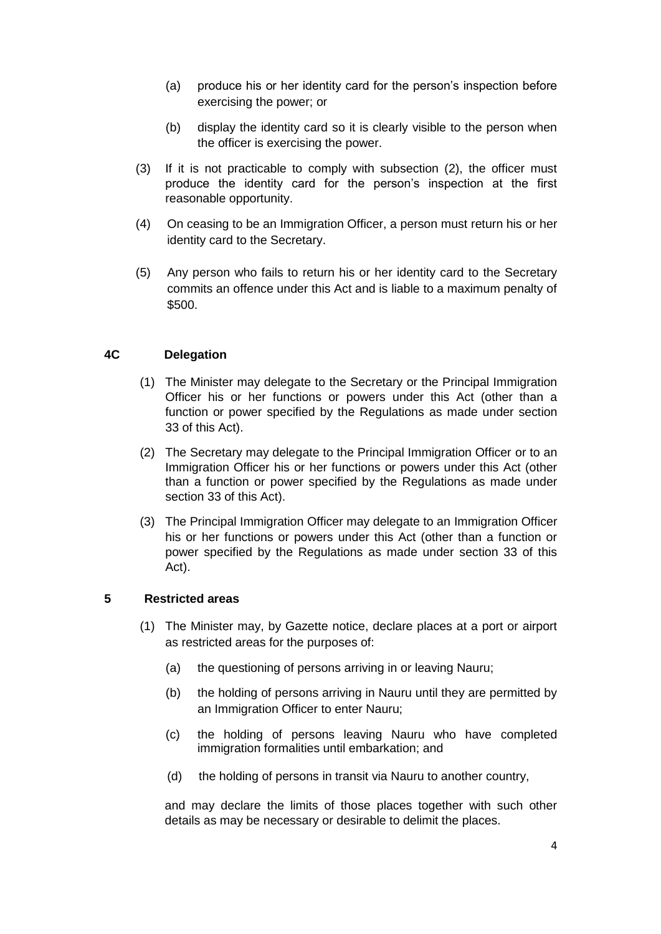- (a) produce his or her identity card for the person's inspection before exercising the power; or
- (b) display the identity card so it is clearly visible to the person when the officer is exercising the power.
- (3) If it is not practicable to comply with subsection (2), the officer must produce the identity card for the person's inspection at the first reasonable opportunity.
- (4) On ceasing to be an Immigration Officer, a person must return his or her identity card to the Secretary.
- (5) Any person who fails to return his or her identity card to the Secretary commits an offence under this Act and is liable to a maximum penalty of \$500.

#### **4C Delegation**

- (1) The Minister may delegate to the Secretary or the Principal Immigration Officer his or her functions or powers under this Act (other than a function or power specified by the Regulations as made under section 33 of this Act).
- (2) The Secretary may delegate to the Principal Immigration Officer or to an Immigration Officer his or her functions or powers under this Act (other than a function or power specified by the Regulations as made under section 33 of this Act).
- (3) The Principal Immigration Officer may delegate to an Immigration Officer his or her functions or powers under this Act (other than a function or power specified by the Regulations as made under section 33 of this Act).

#### **5 Restricted areas**

- (1) The Minister may, by Gazette notice, declare places at a port or airport as restricted areas for the purposes of:
	- (a) the questioning of persons arriving in or leaving Nauru;
	- (b) the holding of persons arriving in Nauru until they are permitted by an Immigration Officer to enter Nauru;
	- (c) the holding of persons leaving Nauru who have completed immigration formalities until embarkation; and
	- (d) the holding of persons in transit via Nauru to another country,

and may declare the limits of those places together with such other details as may be necessary or desirable to delimit the places.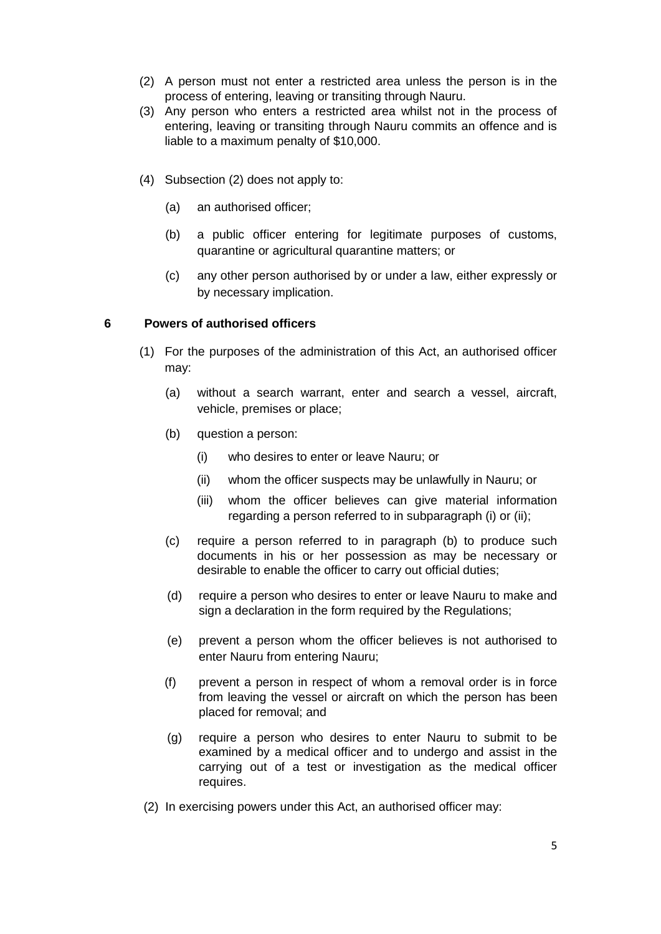- (2) A person must not enter a restricted area unless the person is in the process of entering, leaving or transiting through Nauru.
- (3) Any person who enters a restricted area whilst not in the process of entering, leaving or transiting through Nauru commits an offence and is liable to a maximum penalty of \$10,000.
- (4) Subsection (2) does not apply to:
	- (a) an authorised officer;
	- (b) a public officer entering for legitimate purposes of customs, quarantine or agricultural quarantine matters; or
	- (c) any other person authorised by or under a law, either expressly or by necessary implication.

#### **6 Powers of authorised officers**

- (1) For the purposes of the administration of this Act, an authorised officer may:
	- (a) without a search warrant, enter and search a vessel, aircraft, vehicle, premises or place;
	- (b) question a person:
		- (i) who desires to enter or leave Nauru; or
		- (ii) whom the officer suspects may be unlawfully in Nauru; or
		- (iii) whom the officer believes can give material information regarding a person referred to in subparagraph (i) or (ii);
	- (c) require a person referred to in paragraph (b) to produce such documents in his or her possession as may be necessary or desirable to enable the officer to carry out official duties;
	- (d) require a person who desires to enter or leave Nauru to make and sign a declaration in the form required by the Regulations;
	- (e) prevent a person whom the officer believes is not authorised to enter Nauru from entering Nauru;
	- (f) prevent a person in respect of whom a removal order is in force from leaving the vessel or aircraft on which the person has been placed for removal; and
	- (g) require a person who desires to enter Nauru to submit to be examined by a medical officer and to undergo and assist in the carrying out of a test or investigation as the medical officer requires.
- (2) In exercising powers under this Act, an authorised officer may: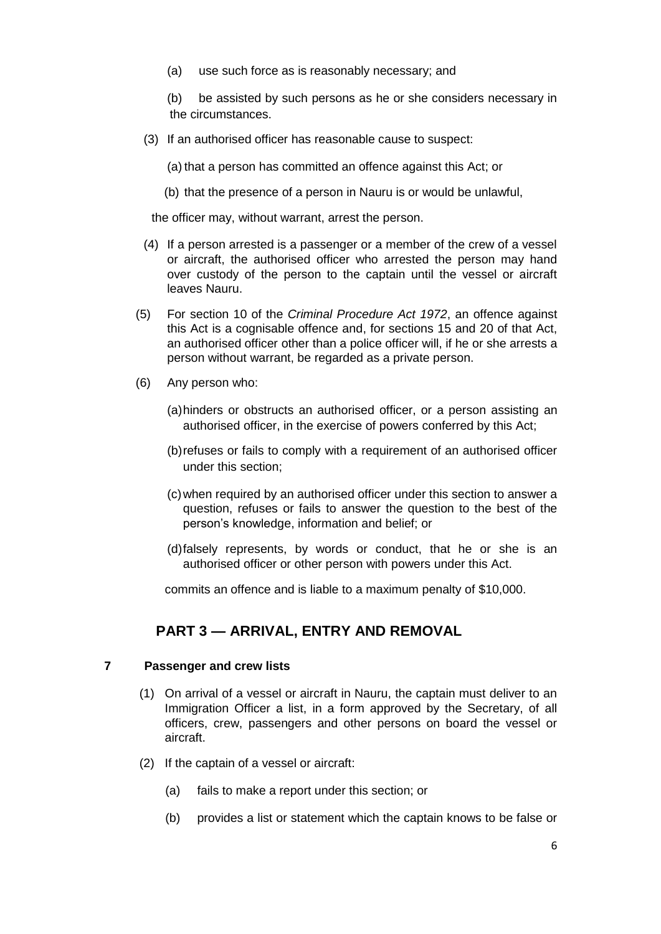- (a) use such force as is reasonably necessary; and
- (b) be assisted by such persons as he or she considers necessary in the circumstances.
- (3) If an authorised officer has reasonable cause to suspect:
	- (a) that a person has committed an offence against this Act; or
	- (b) that the presence of a person in Nauru is or would be unlawful,

the officer may, without warrant, arrest the person.

- (4) If a person arrested is a passenger or a member of the crew of a vessel or aircraft, the authorised officer who arrested the person may hand over custody of the person to the captain until the vessel or aircraft leaves Nauru.
- (5) For section 10 of the *Criminal Procedure Act 1972*, an offence against this Act is a cognisable offence and, for sections 15 and 20 of that Act, an authorised officer other than a police officer will, if he or she arrests a person without warrant, be regarded as a private person.
- (6) Any person who:
	- (a)hinders or obstructs an authorised officer, or a person assisting an authorised officer, in the exercise of powers conferred by this Act;
	- (b)refuses or fails to comply with a requirement of an authorised officer under this section;
	- (c)when required by an authorised officer under this section to answer a question, refuses or fails to answer the question to the best of the person's knowledge, information and belief; or
	- (d)falsely represents, by words or conduct, that he or she is an authorised officer or other person with powers under this Act.

commits an offence and is liable to a maximum penalty of \$10,000.

## **PART 3 — ARRIVAL, ENTRY AND REMOVAL**

#### **7 Passenger and crew lists**

- (1) On arrival of a vessel or aircraft in Nauru, the captain must deliver to an Immigration Officer a list, in a form approved by the Secretary, of all officers, crew, passengers and other persons on board the vessel or aircraft.
- (2) If the captain of a vessel or aircraft:
	- (a) fails to make a report under this section; or
	- (b) provides a list or statement which the captain knows to be false or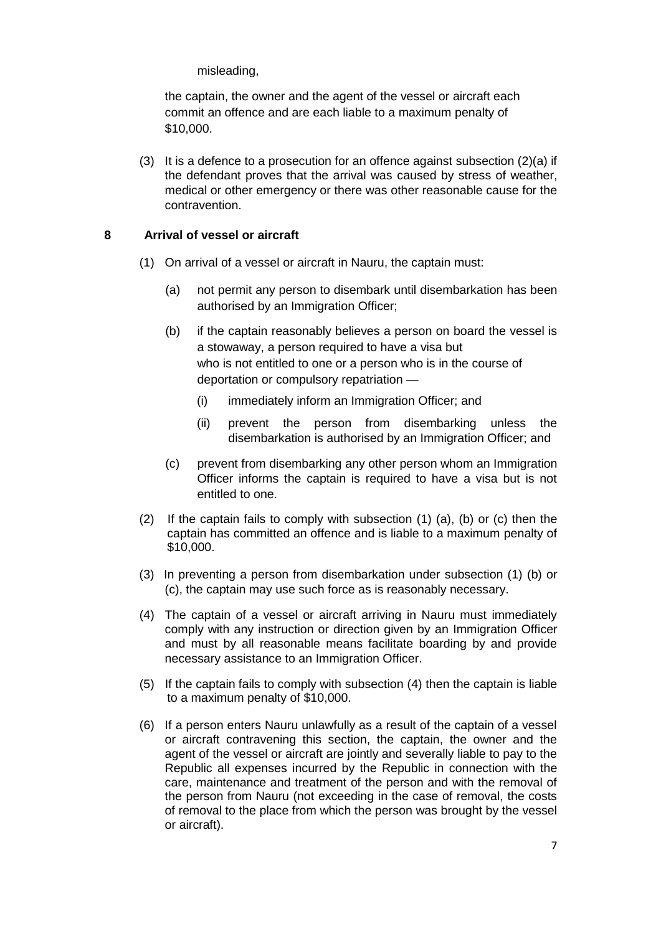misleading,

the captain, the owner and the agent of the vessel or aircraft each commit an offence and are each liable to a maximum penalty of \$10,000.

(3) It is a defence to a prosecution for an offence against subsection  $(2)(a)$  if the defendant proves that the arrival was caused by stress of weather, medical or other emergency or there was other reasonable cause for the contravention.

#### **8 Arrival of vessel or aircraft**

- (1) On arrival of a vessel or aircraft in Nauru, the captain must:
	- (a) not permit any person to disembark until disembarkation has been authorised by an Immigration Officer;
	- (b) if the captain reasonably believes a person on board the vessel is a stowaway, a person required to have a visa but who is not entitled to one or a person who is in the course of deportation or compulsory repatriation —
		- (i) immediately inform an Immigration Officer; and
		- (ii) prevent the person from disembarking unless the disembarkation is authorised by an Immigration Officer; and
	- (c) prevent from disembarking any other person whom an Immigration Officer informs the captain is required to have a visa but is not entitled to one.
- (2) If the captain fails to comply with subsection (1) (a), (b) or (c) then the captain has committed an offence and is liable to a maximum penalty of \$10,000.
- (3) In preventing a person from disembarkation under subsection (1) (b) or (c), the captain may use such force as is reasonably necessary.
- (4) The captain of a vessel or aircraft arriving in Nauru must immediately comply with any instruction or direction given by an Immigration Officer and must by all reasonable means facilitate boarding by and provide necessary assistance to an Immigration Officer.
- (5) If the captain fails to comply with subsection (4) then the captain is liable to a maximum penalty of \$10,000.
- (6) If a person enters Nauru unlawfully as a result of the captain of a vessel or aircraft contravening this section, the captain, the owner and the agent of the vessel or aircraft are jointly and severally liable to pay to the Republic all expenses incurred by the Republic in connection with the care, maintenance and treatment of the person and with the removal of the person from Nauru (not exceeding in the case of removal, the costs of removal to the place from which the person was brought by the vessel or aircraft).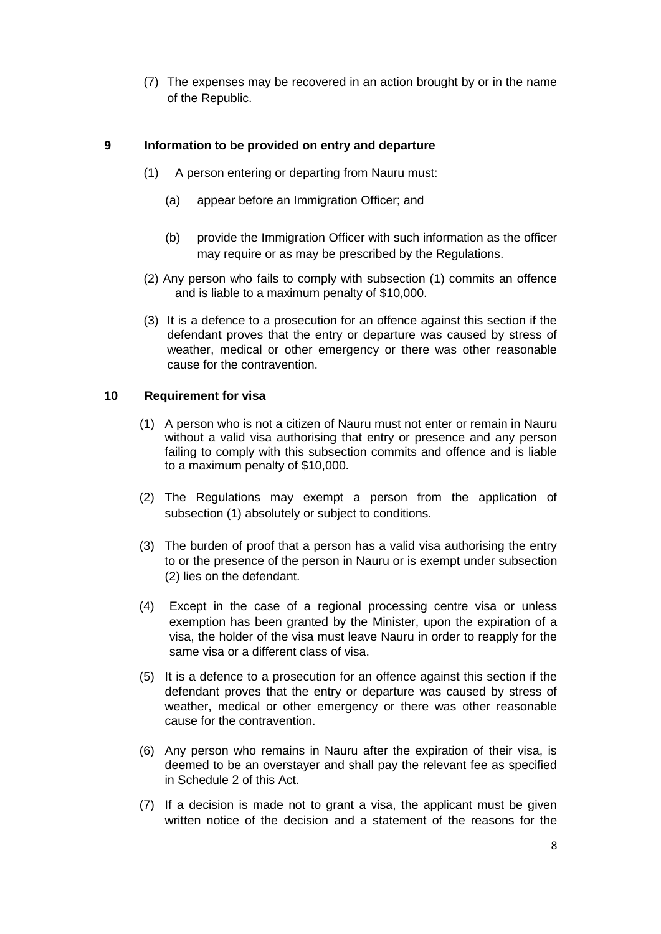(7) The expenses may be recovered in an action brought by or in the name of the Republic.

#### **9 Information to be provided on entry and departure**

- (1) A person entering or departing from Nauru must:
	- (a) appear before an Immigration Officer; and
	- (b) provide the Immigration Officer with such information as the officer may require or as may be prescribed by the Regulations.
- (2) Any person who fails to comply with subsection (1) commits an offence and is liable to a maximum penalty of \$10,000.
- (3) It is a defence to a prosecution for an offence against this section if the defendant proves that the entry or departure was caused by stress of weather, medical or other emergency or there was other reasonable cause for the contravention.

#### **10 Requirement for visa**

- (1) A person who is not a citizen of Nauru must not enter or remain in Nauru without a valid visa authorising that entry or presence and any person failing to comply with this subsection commits and offence and is liable to a maximum penalty of \$10,000.
- (2) The Regulations may exempt a person from the application of subsection (1) absolutely or subject to conditions.
- (3) The burden of proof that a person has a valid visa authorising the entry to or the presence of the person in Nauru or is exempt under subsection (2) lies on the defendant.
- (4) Except in the case of a regional processing centre visa or unless exemption has been granted by the Minister, upon the expiration of a visa, the holder of the visa must leave Nauru in order to reapply for the same visa or a different class of visa.
- (5) It is a defence to a prosecution for an offence against this section if the defendant proves that the entry or departure was caused by stress of weather, medical or other emergency or there was other reasonable cause for the contravention.
- (6) Any person who remains in Nauru after the expiration of their visa, is deemed to be an overstayer and shall pay the relevant fee as specified in Schedule 2 of this Act.
- (7) If a decision is made not to grant a visa, the applicant must be given written notice of the decision and a statement of the reasons for the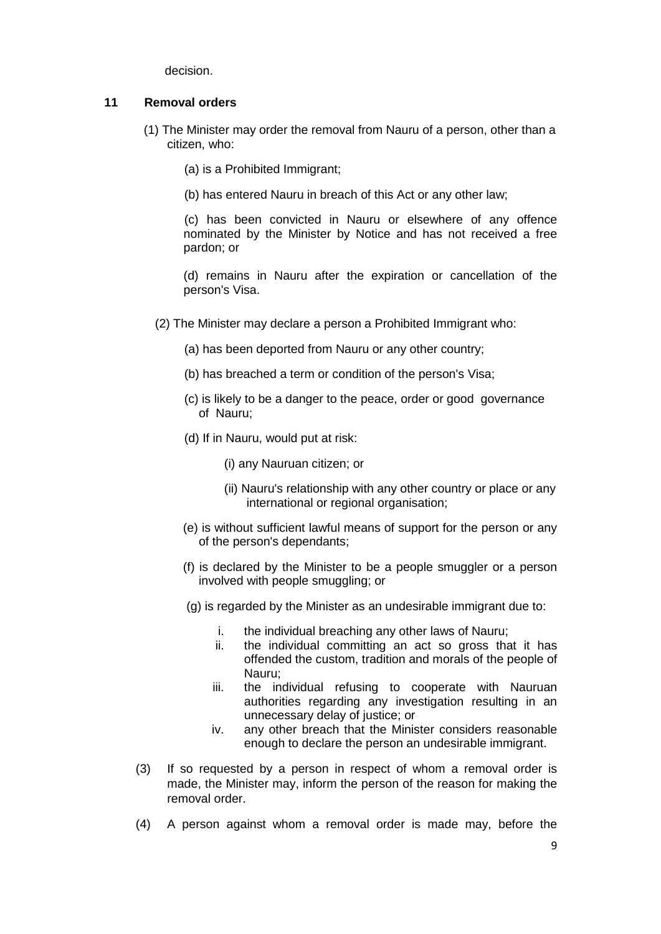decision.

#### **11 Removal orders**

- (1) The Minister may order the removal from Nauru of a person, other than a citizen, who:
	- (a) is a Prohibited Immigrant;
	- (b) has entered Nauru in breach of this Act or any other law;

(c) has been convicted in Nauru or elsewhere of any offence nominated by the Minister by Notice and has not received a free pardon; or

(d) remains in Nauru after the expiration or cancellation of the person's Visa.

- (2) The Minister may declare a person a Prohibited Immigrant who:
	- (a) has been deported from Nauru or any other country;
	- (b) has breached a term or condition of the person's Visa;
	- (c) is likely to be a danger to the peace, order or good governance of Nauru;
	- (d) If in Nauru, would put at risk:
		- (i) any Nauruan citizen; or
		- (ii) Nauru's relationship with any other country or place or any international or regional organisation;
	- (e) is without sufficient lawful means of support for the person or any of the person's dependants;
	- (f) is declared by the Minister to be a people smuggler or a person involved with people smuggling; or
	- (g) is regarded by the Minister as an undesirable immigrant due to:
		- i. the individual breaching any other laws of Nauru;
		- ii. the individual committing an act so gross that it has offended the custom, tradition and morals of the people of Nauru;
		- iii. the individual refusing to cooperate with Nauruan authorities regarding any investigation resulting in an unnecessary delay of justice; or
		- iv. any other breach that the Minister considers reasonable enough to declare the person an undesirable immigrant.
- (3) If so requested by a person in respect of whom a removal order is made, the Minister may, inform the person of the reason for making the removal order.
- (4) A person against whom a removal order is made may, before the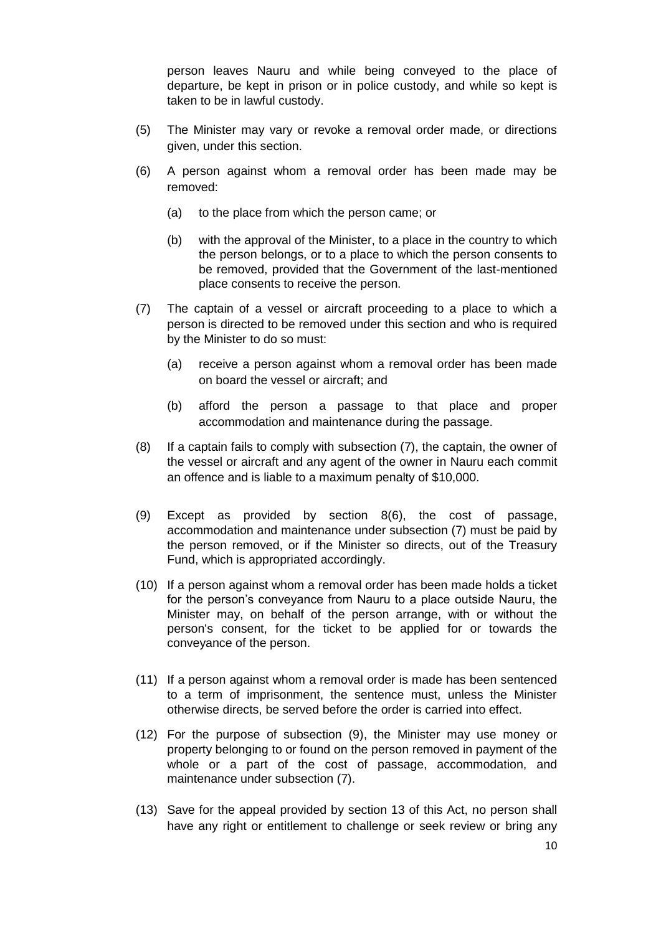person leaves Nauru and while being conveyed to the place of departure, be kept in prison or in police custody, and while so kept is taken to be in lawful custody.

- (5) The Minister may vary or revoke a removal order made, or directions given, under this section.
- (6) A person against whom a removal order has been made may be removed:
	- (a) to the place from which the person came; or
	- (b) with the approval of the Minister, to a place in the country to which the person belongs, or to a place to which the person consents to be removed, provided that the Government of the last-mentioned place consents to receive the person.
- (7) The captain of a vessel or aircraft proceeding to a place to which a person is directed to be removed under this section and who is required by the Minister to do so must:
	- (a) receive a person against whom a removal order has been made on board the vessel or aircraft; and
	- (b) afford the person a passage to that place and proper accommodation and maintenance during the passage.
- (8) If a captain fails to comply with subsection (7), the captain, the owner of the vessel or aircraft and any agent of the owner in Nauru each commit an offence and is liable to a maximum penalty of \$10,000.
- (9) Except as provided by section 8(6), the cost of passage, accommodation and maintenance under subsection (7) must be paid by the person removed, or if the Minister so directs, out of the Treasury Fund, which is appropriated accordingly.
- (10) If a person against whom a removal order has been made holds a ticket for the person's conveyance from Nauru to a place outside Nauru, the Minister may, on behalf of the person arrange, with or without the person's consent, for the ticket to be applied for or towards the conveyance of the person.
- (11) If a person against whom a removal order is made has been sentenced to a term of imprisonment, the sentence must, unless the Minister otherwise directs, be served before the order is carried into effect.
- (12) For the purpose of subsection (9), the Minister may use money or property belonging to or found on the person removed in payment of the whole or a part of the cost of passage, accommodation, and maintenance under subsection (7).
- (13) Save for the appeal provided by section 13 of this Act, no person shall have any right or entitlement to challenge or seek review or bring any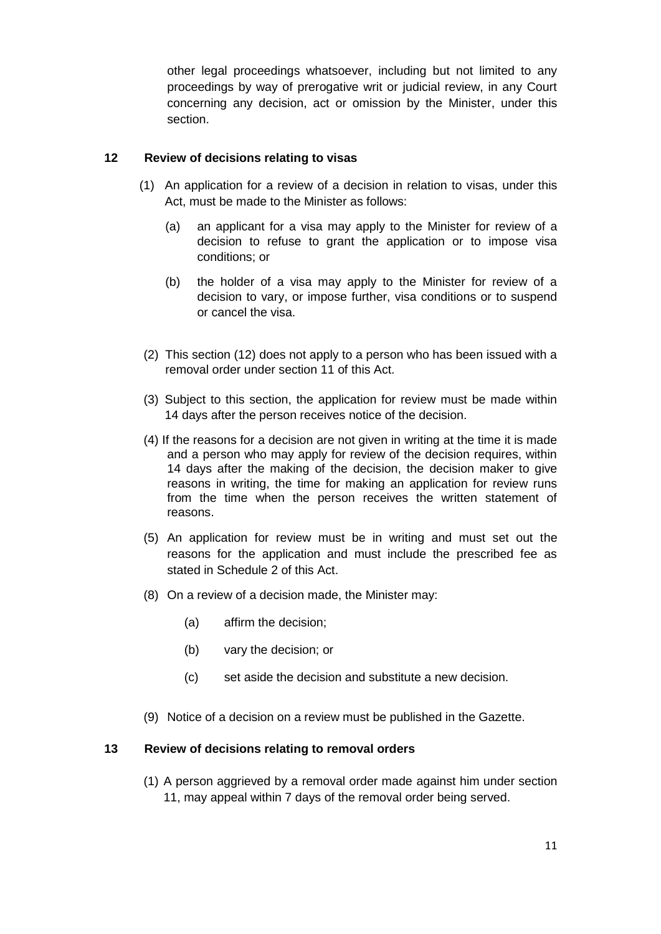other legal proceedings whatsoever, including but not limited to any proceedings by way of prerogative writ or judicial review, in any Court concerning any decision, act or omission by the Minister, under this section.

#### **12 Review of decisions relating to visas**

- (1) An application for a review of a decision in relation to visas, under this Act, must be made to the Minister as follows:
	- (a) an applicant for a visa may apply to the Minister for review of a decision to refuse to grant the application or to impose visa conditions; or
	- (b) the holder of a visa may apply to the Minister for review of a decision to vary, or impose further, visa conditions or to suspend or cancel the visa.
- (2) This section (12) does not apply to a person who has been issued with a removal order under section 11 of this Act.
- (3) Subject to this section, the application for review must be made within 14 days after the person receives notice of the decision.
- (4) If the reasons for a decision are not given in writing at the time it is made and a person who may apply for review of the decision requires, within 14 days after the making of the decision, the decision maker to give reasons in writing, the time for making an application for review runs from the time when the person receives the written statement of reasons.
- (5) An application for review must be in writing and must set out the reasons for the application and must include the prescribed fee as stated in Schedule 2 of this Act.
- (8) On a review of a decision made, the Minister may:
	- (a) affirm the decision;
	- (b) vary the decision; or
	- (c) set aside the decision and substitute a new decision.
- (9) Notice of a decision on a review must be published in the Gazette.

#### **13 Review of decisions relating to removal orders**

(1) A person aggrieved by a removal order made against him under section 11, may appeal within 7 days of the removal order being served.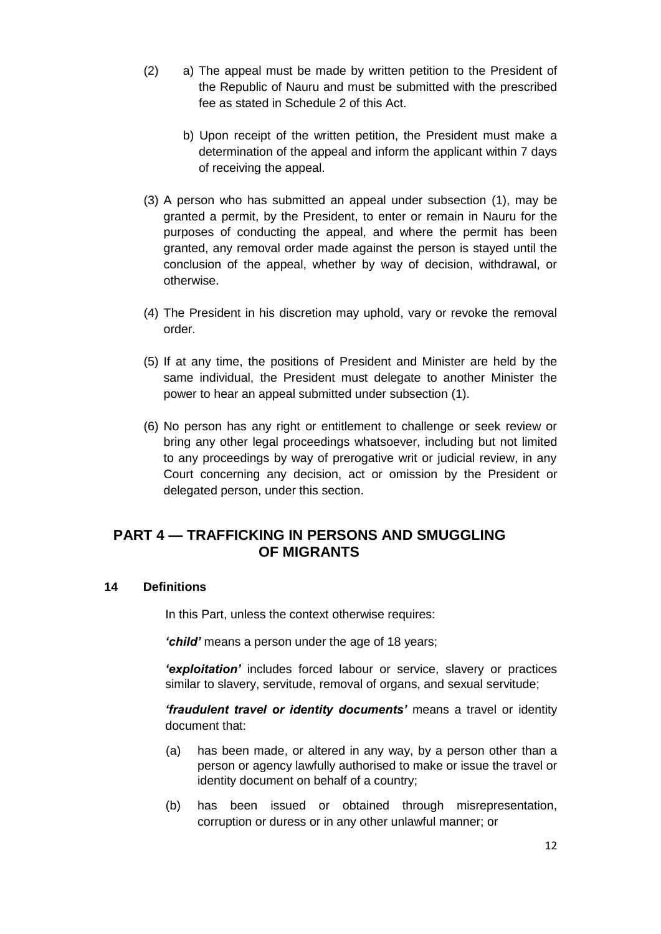- (2) a) The appeal must be made by written petition to the President of the Republic of Nauru and must be submitted with the prescribed fee as stated in Schedule 2 of this Act.
	- b) Upon receipt of the written petition, the President must make a determination of the appeal and inform the applicant within 7 days of receiving the appeal.
- (3) A person who has submitted an appeal under subsection (1), may be granted a permit, by the President, to enter or remain in Nauru for the purposes of conducting the appeal, and where the permit has been granted, any removal order made against the person is stayed until the conclusion of the appeal, whether by way of decision, withdrawal, or otherwise.
- (4) The President in his discretion may uphold, vary or revoke the removal order.
- (5) If at any time, the positions of President and Minister are held by the same individual, the President must delegate to another Minister the power to hear an appeal submitted under subsection (1).
- (6) No person has any right or entitlement to challenge or seek review or bring any other legal proceedings whatsoever, including but not limited to any proceedings by way of prerogative writ or judicial review, in any Court concerning any decision, act or omission by the President or delegated person, under this section.

## **PART 4 — TRAFFICKING IN PERSONS AND SMUGGLING OF MIGRANTS**

#### **14 Definitions**

In this Part, unless the context otherwise requires:

*'child'* means a person under the age of 18 years;

*'exploitation'* includes forced labour or service, slavery or practices similar to slavery, servitude, removal of organs, and sexual servitude;

*'fraudulent travel or identity documents'* means a travel or identity document that:

- (a) has been made, or altered in any way, by a person other than a person or agency lawfully authorised to make or issue the travel or identity document on behalf of a country;
- (b) has been issued or obtained through misrepresentation, corruption or duress or in any other unlawful manner; or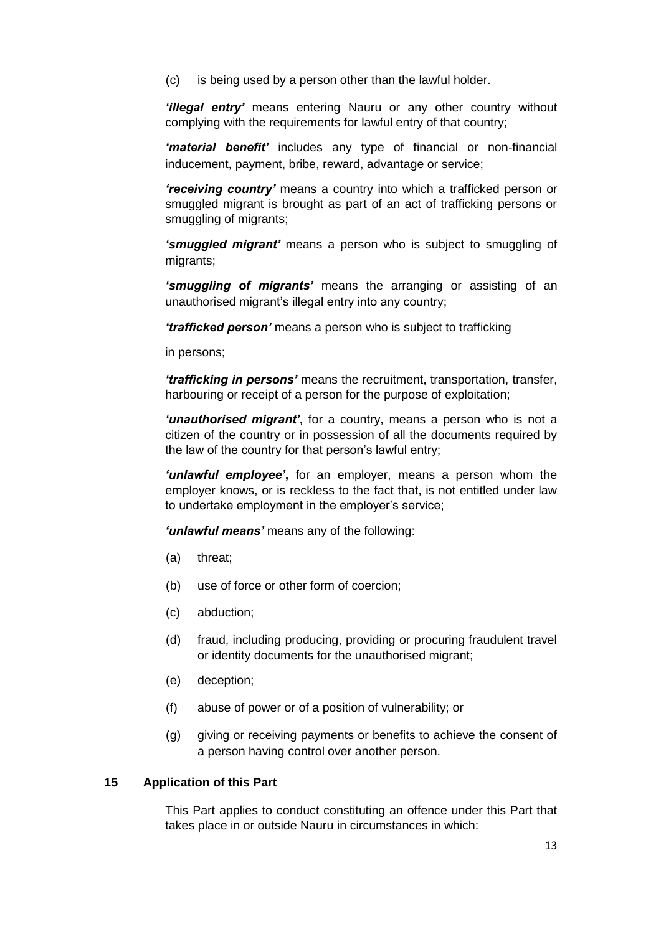(c) is being used by a person other than the lawful holder.

*'illegal entry'* means entering Nauru or any other country without complying with the requirements for lawful entry of that country;

*'material benefit'* includes any type of financial or non-financial inducement, payment, bribe, reward, advantage or service;

*'receiving country'* means a country into which a trafficked person or smuggled migrant is brought as part of an act of trafficking persons or smuggling of migrants;

*'smuggled migrant'* means a person who is subject to smuggling of migrants;

*'smuggling of migrants'* means the arranging or assisting of an unauthorised migrant's illegal entry into any country;

*'trafficked person'* means a person who is subject to trafficking

in persons;

*'trafficking in persons'* means the recruitment, transportation, transfer, harbouring or receipt of a person for the purpose of exploitation;

*'unauthorised migrant'***,** for a country, means a person who is not a citizen of the country or in possession of all the documents required by the law of the country for that person's lawful entry;

*'unlawful employee'***,** for an employer, means a person whom the employer knows, or is reckless to the fact that, is not entitled under law to undertake employment in the employer's service;

*'unlawful means'* means any of the following:

- (a) threat;
- (b) use of force or other form of coercion;
- (c) abduction;
- (d) fraud, including producing, providing or procuring fraudulent travel or identity documents for the unauthorised migrant;
- (e) deception;
- (f) abuse of power or of a position of vulnerability; or
- (g) giving or receiving payments or benefits to achieve the consent of a person having control over another person.

#### **15 Application of this Part**

This Part applies to conduct constituting an offence under this Part that takes place in or outside Nauru in circumstances in which: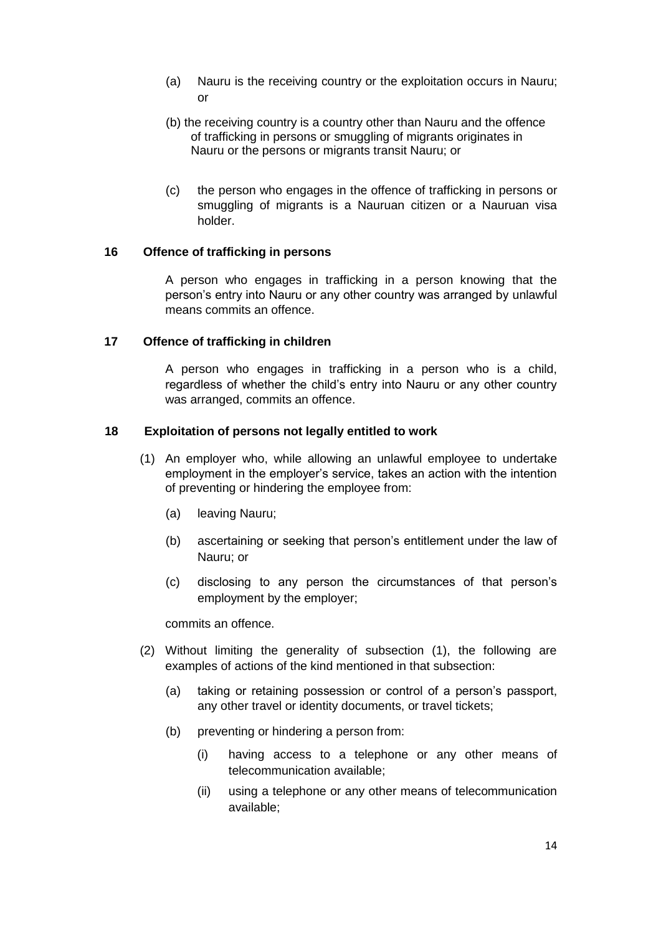- (a) Nauru is the receiving country or the exploitation occurs in Nauru; or
- (b) the receiving country is a country other than Nauru and the offence of trafficking in persons or smuggling of migrants originates in Nauru or the persons or migrants transit Nauru; or
- (c) the person who engages in the offence of trafficking in persons or smuggling of migrants is a Nauruan citizen or a Nauruan visa holder.

#### **16 Offence of trafficking in persons**

A person who engages in trafficking in a person knowing that the person's entry into Nauru or any other country was arranged by unlawful means commits an offence.

#### **17 Offence of trafficking in children**

A person who engages in trafficking in a person who is a child, regardless of whether the child's entry into Nauru or any other country was arranged, commits an offence.

#### **18 Exploitation of persons not legally entitled to work**

- (1) An employer who, while allowing an unlawful employee to undertake employment in the employer's service, takes an action with the intention of preventing or hindering the employee from:
	- (a) leaving Nauru;
	- (b) ascertaining or seeking that person's entitlement under the law of Nauru; or
	- (c) disclosing to any person the circumstances of that person's employment by the employer;

commits an offence.

- (2) Without limiting the generality of subsection (1), the following are examples of actions of the kind mentioned in that subsection:
	- (a) taking or retaining possession or control of a person's passport, any other travel or identity documents, or travel tickets;
	- (b) preventing or hindering a person from:
		- (i) having access to a telephone or any other means of telecommunication available;
		- (ii) using a telephone or any other means of telecommunication available;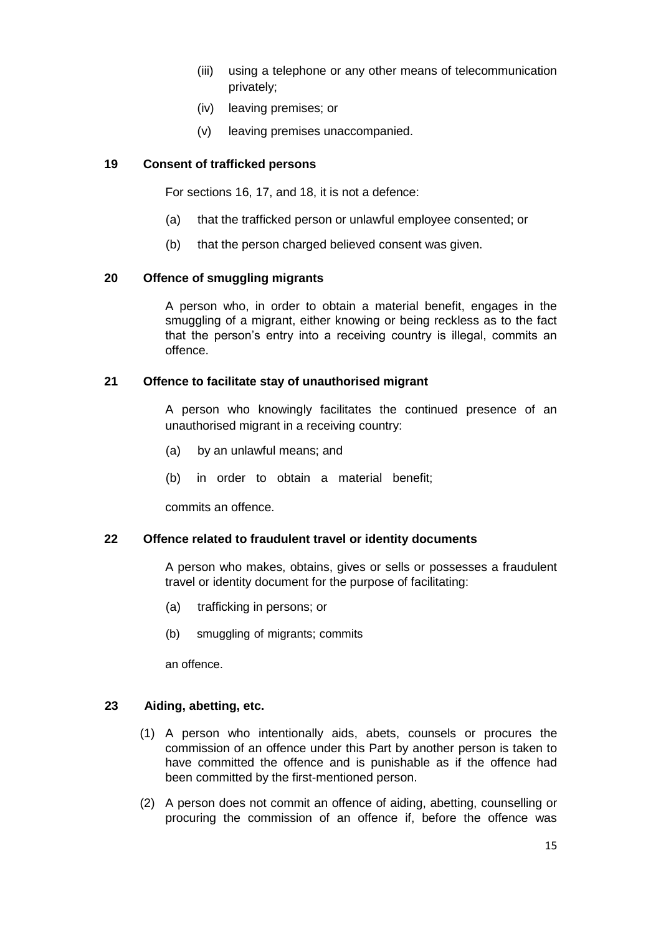- (iii) using a telephone or any other means of telecommunication privately;
- (iv) leaving premises; or
- (v) leaving premises unaccompanied.

#### **19 Consent of trafficked persons**

For sections 16, 17, and 18, it is not a defence:

- (a) that the trafficked person or unlawful employee consented; or
- (b) that the person charged believed consent was given.

#### **20 Offence of smuggling migrants**

A person who, in order to obtain a material benefit, engages in the smuggling of a migrant, either knowing or being reckless as to the fact that the person's entry into a receiving country is illegal, commits an offence.

#### **21 Offence to facilitate stay of unauthorised migrant**

A person who knowingly facilitates the continued presence of an unauthorised migrant in a receiving country:

- (a) by an unlawful means; and
- (b) in order to obtain a material benefit;

commits an offence.

#### **22 Offence related to fraudulent travel or identity documents**

A person who makes, obtains, gives or sells or possesses a fraudulent travel or identity document for the purpose of facilitating:

- (a) trafficking in persons; or
- (b) smuggling of migrants; commits

an offence.

#### **23 Aiding, abetting, etc.**

- (1) A person who intentionally aids, abets, counsels or procures the commission of an offence under this Part by another person is taken to have committed the offence and is punishable as if the offence had been committed by the first-mentioned person.
- (2) A person does not commit an offence of aiding, abetting, counselling or procuring the commission of an offence if, before the offence was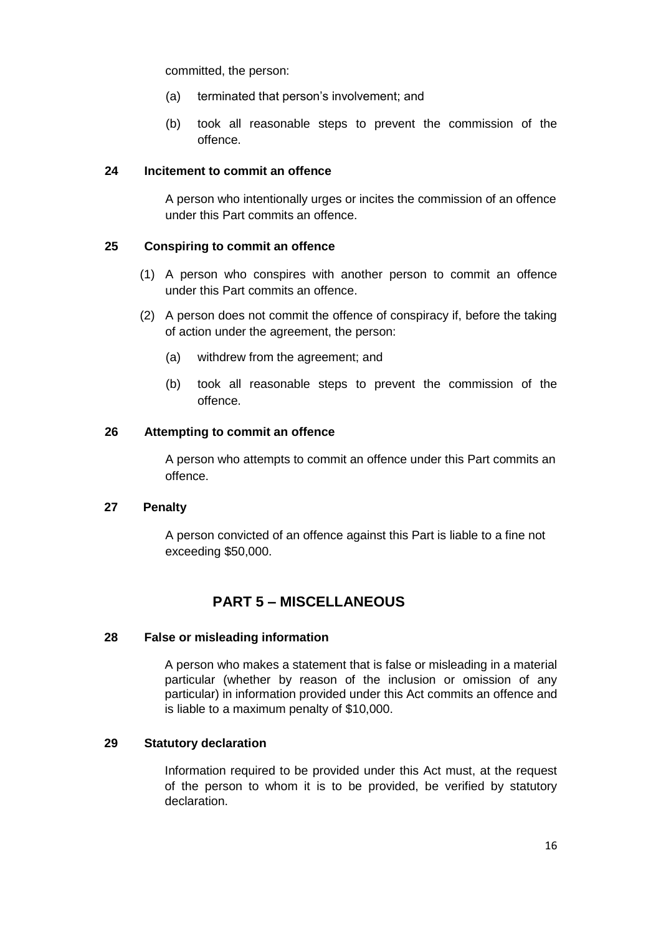committed, the person:

- (a) terminated that person's involvement; and
- (b) took all reasonable steps to prevent the commission of the offence.

#### **24 Incitement to commit an offence**

A person who intentionally urges or incites the commission of an offence under this Part commits an offence.

#### **25 Conspiring to commit an offence**

- (1) A person who conspires with another person to commit an offence under this Part commits an offence.
- (2) A person does not commit the offence of conspiracy if, before the taking of action under the agreement, the person:
	- (a) withdrew from the agreement; and
	- (b) took all reasonable steps to prevent the commission of the offence.

#### **26 Attempting to commit an offence**

A person who attempts to commit an offence under this Part commits an offence.

#### **27 Penalty**

A person convicted of an offence against this Part is liable to a fine not exceeding \$50,000.

## **PART 5 – MISCELLANEOUS**

#### **28 False or misleading information**

A person who makes a statement that is false or misleading in a material particular (whether by reason of the inclusion or omission of any particular) in information provided under this Act commits an offence and is liable to a maximum penalty of \$10,000.

#### **29 Statutory declaration**

Information required to be provided under this Act must, at the request of the person to whom it is to be provided, be verified by statutory declaration.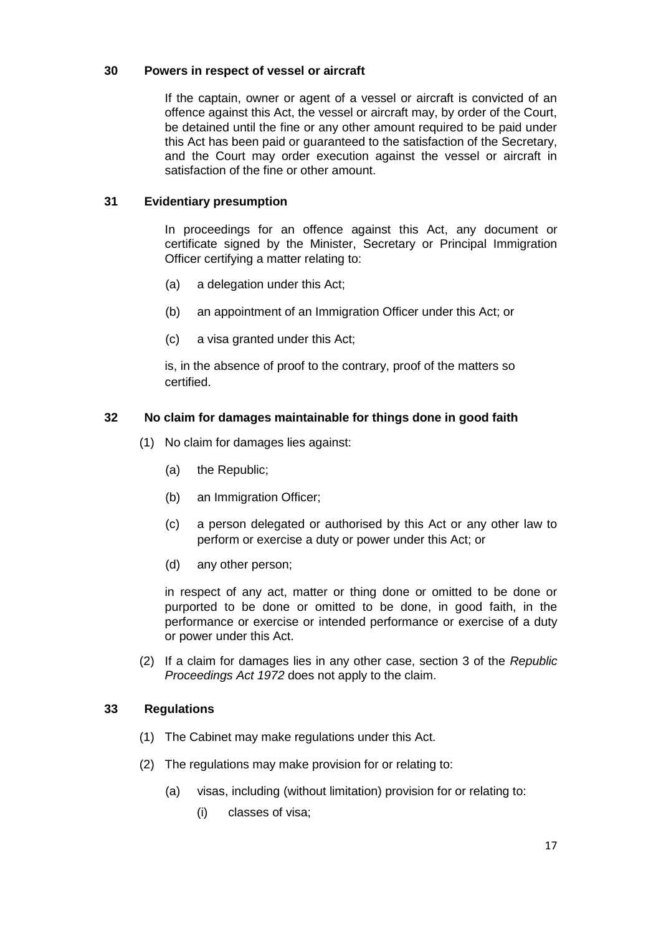#### **30 Powers in respect of vessel or aircraft**

If the captain, owner or agent of a vessel or aircraft is convicted of an offence against this Act, the vessel or aircraft may, by order of the Court, be detained until the fine or any other amount required to be paid under this Act has been paid or guaranteed to the satisfaction of the Secretary, and the Court may order execution against the vessel or aircraft in satisfaction of the fine or other amount.

#### **31 Evidentiary presumption**

In proceedings for an offence against this Act, any document or certificate signed by the Minister, Secretary or Principal Immigration Officer certifying a matter relating to:

- (a) a delegation under this Act;
- (b) an appointment of an Immigration Officer under this Act; or
- (c) a visa granted under this Act;

is, in the absence of proof to the contrary, proof of the matters so certified.

#### **32 No claim for damages maintainable for things done in good faith**

- (1) No claim for damages lies against:
	- (a) the Republic;
	- (b) an Immigration Officer;
	- (c) a person delegated or authorised by this Act or any other law to perform or exercise a duty or power under this Act; or
	- (d) any other person;

in respect of any act, matter or thing done or omitted to be done or purported to be done or omitted to be done, in good faith, in the performance or exercise or intended performance or exercise of a duty or power under this Act.

(2) If a claim for damages lies in any other case, section 3 of the *Republic Proceedings Act 1972* does not apply to the claim.

#### **33 Regulations**

- (1) The Cabinet may make regulations under this Act.
- (2) The regulations may make provision for or relating to:
	- (a) visas, including (without limitation) provision for or relating to:
		- (i) classes of visa;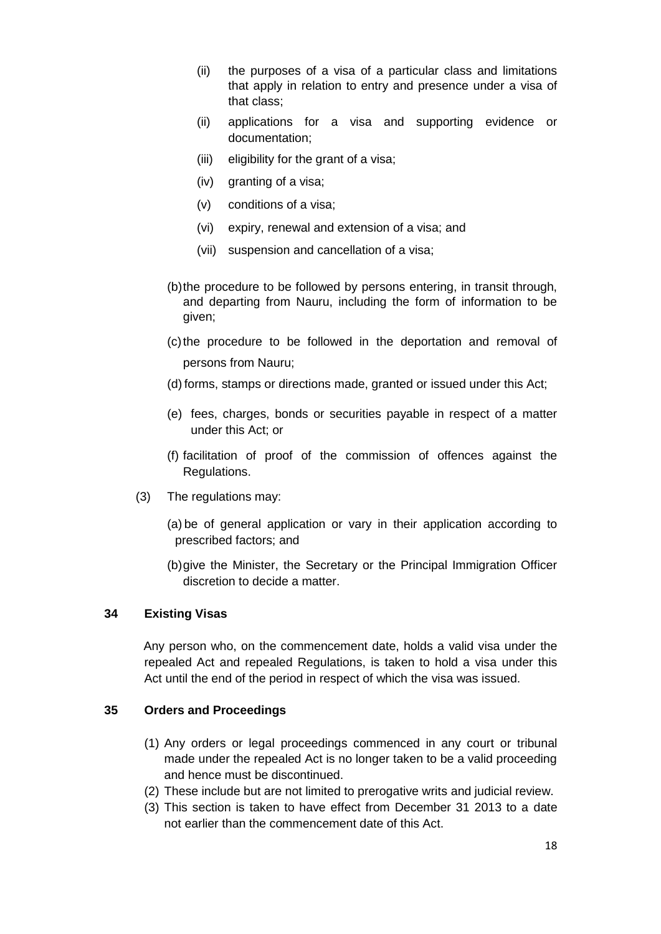- (ii) the purposes of a visa of a particular class and limitations that apply in relation to entry and presence under a visa of that class;
- (ii) applications for a visa and supporting evidence or documentation;
- (iii) eligibility for the grant of a visa;
- (iv) granting of a visa;
- (v) conditions of a visa;
- (vi) expiry, renewal and extension of a visa; and
- (vii) suspension and cancellation of a visa;
- (b)the procedure to be followed by persons entering, in transit through, and departing from Nauru, including the form of information to be given;
- (c)the procedure to be followed in the deportation and removal of persons from Nauru;
- (d) forms, stamps or directions made, granted or issued under this Act;
- (e) fees, charges, bonds or securities payable in respect of a matter under this Act; or
- (f) facilitation of proof of the commission of offences against the Regulations.
- (3) The regulations may:
	- (a) be of general application or vary in their application according to prescribed factors; and
	- (b)give the Minister, the Secretary or the Principal Immigration Officer discretion to decide a matter.

#### **34 Existing Visas**

Any person who, on the commencement date, holds a valid visa under the repealed Act and repealed Regulations, is taken to hold a visa under this Act until the end of the period in respect of which the visa was issued.

#### **35 Orders and Proceedings**

- (1) Any orders or legal proceedings commenced in any court or tribunal made under the repealed Act is no longer taken to be a valid proceeding and hence must be discontinued.
- (2) These include but are not limited to prerogative writs and judicial review.
- (3) This section is taken to have effect from December 31 2013 to a date not earlier than the commencement date of this Act.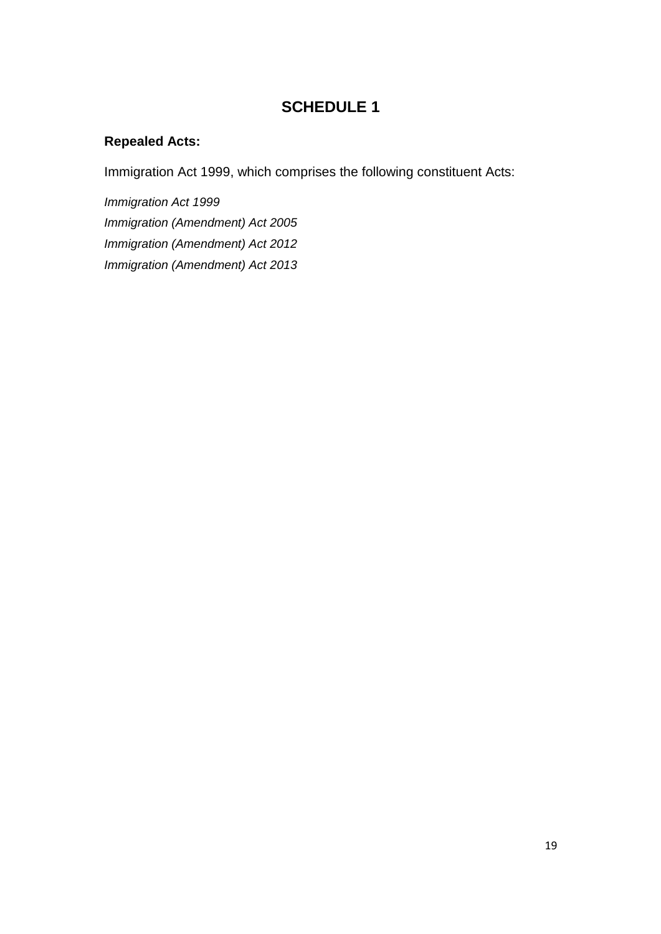## **SCHEDULE 1**

## **Repealed Acts:**

Immigration Act 1999, which comprises the following constituent Acts:

*Immigration Act 1999 Immigration (Amendment) Act 2005 Immigration (Amendment) Act 2012 Immigration (Amendment) Act 2013*